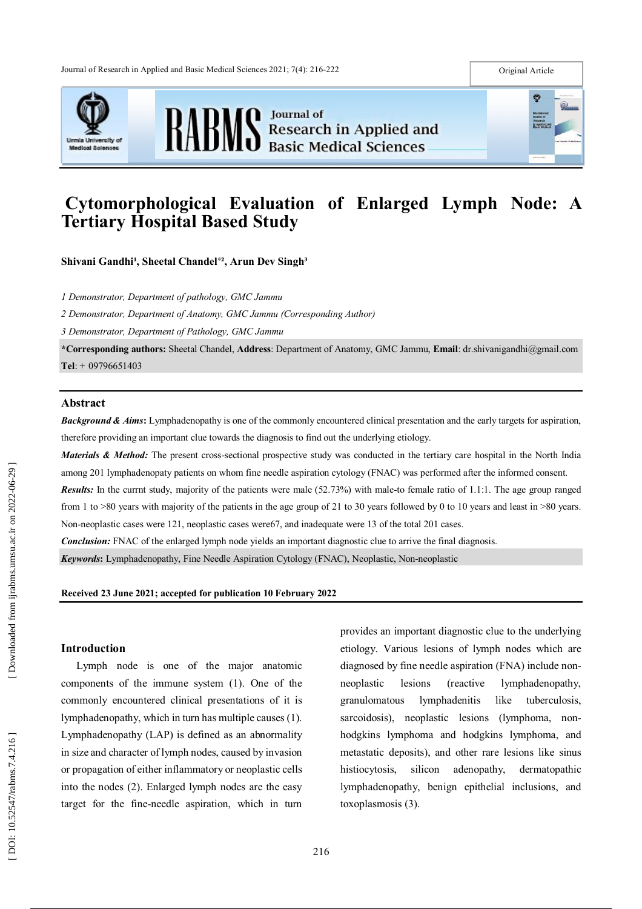





# **Cytomorphological Evaluation of Enlarged Lymph Node: A Tertiary Hospital Based Study**

**Shivani Gandhi<sup>1</sup>, Sheetal Chandel<sup>\*2</sup>, Arun Dev Singh<sup>3</sup>** 

*1 Demonstrator, Department of pathology, GMC Jammu*

*2 Demonstrator, Department of Anatomy, GMC Jammu (Corresponding Author)*

*3 Demonstrator, Department of Pathology, GMC Jammu*

**\*Corresponding authors :** Sheetal Chandel, **Address** : Department of Anatomy, GMC Jammu, **Email** : dr.shivanigandhi@gmail.com **Tel**: + 09796651403

#### **Abstract**

**Background & Aims:** Lymphadenopathy is one of the commonly encountered clinical presentation and the early targets for aspiration, therefore providing an important clue towards the diagnosis to find out the underlying etiology.

*Materials & Method:* The present cross-sectional prospective study was conducted in the tertiary care hospital in the North India among 201 lymphadenopaty patients on whom fine needle aspiration cytology (FNAC) was performed after the informed consent.

**Results:** In the currnt study, majority of the patients were male (52.73%) with male-to female ratio of 1.1:1. The age group ranged from 1 to >80 years with majority of the patients in the age group of 21 to 30 years followed by 0 to 10 years and least in >80 years. Non -neoplastic cases were 121, neoplastic cases were67, and inadequate were 13 of the total 201 cases.

*Conclusion:* FNAC of the enlarged lymph node yields an important diagnostic clue to arrive the final diagnosis.

*Keywords***:** Lymphadenopathy, Fine Needle Aspiration Cytology (FNAC), Neoplastic, Non -neoplastic

#### **Received 23 June 2021 ; accepted for publication 10 February 2022**

### **Introduction**

Lymph node is one of the major anatomic components of the immune system (1). One of the commonly encountered clinical presentations of it is lymphadenopathy, which in turn has multiple causes (1). Lymphadenopathy (LAP) is defined as an abnormality in size and character of lymph nodes, caused by invasion or propagation of either inflammatory or neoplastic cells into the nodes (2). Enlarged lymph nodes are the easy target for the fine -needle aspiration, which in turn provides an important diagnostic clue to the underlying etiology. Various lesions of lymph nodes which are diagnosed by fine needle aspiration (FNA) include non neoplastic lesions (reactive lymphadenopathy, granulomatous lymphadenitis like tuberculosis, sarcoidosis), neoplastic lesions (lymphoma, non hodgkins lymphoma and hodgkins lymphoma, and metastatic deposits), and other rare lesions like sinus histiocytosis, silicon adenopathy, dermatopathic lymphadenopathy, benign epithelial inclusions, and toxoplasmosis (3).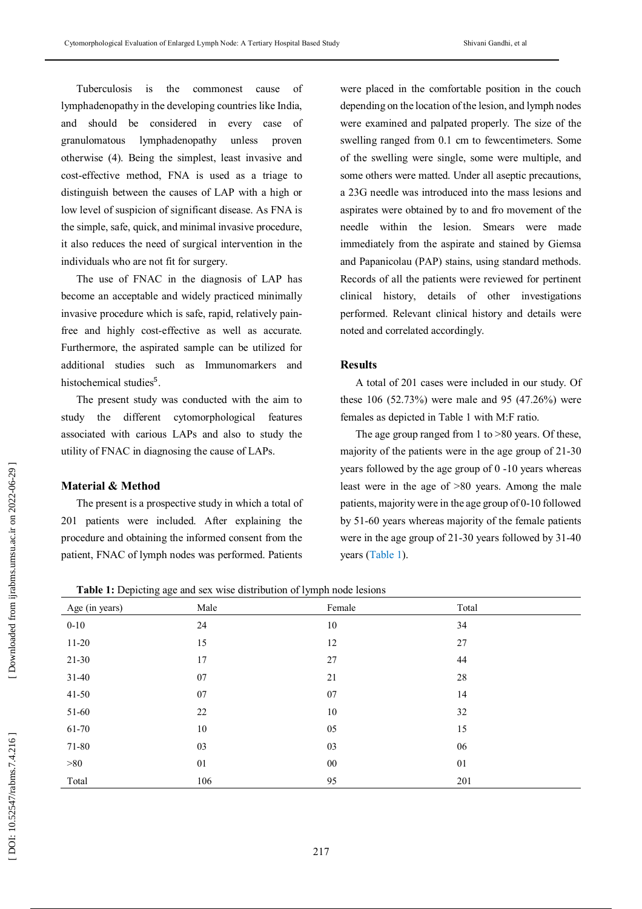Tuberculosis is the commonest cause of lymphadenopathy in the developing countries like India, and should be considered in every case of granulomatous lymphadenopathy unless proven otherwise (4). Being the simplest, least invasive and cost -effective method, FNA is used as a triage to distinguish between the causes of LAP with a high or low level of suspicion of significant disease. As FNA is the simple, safe, quick, and minimal invasive procedure, it also reduces the need of surgical intervention in the individuals who are not fit for surgery.

The use of FNAC in the diagnosis of LAP has become an acceptable and widely practiced minimally invasive procedure which is safe, rapid, relatively pain free and highly cost -effective as well as accurate. Furthermore, the aspirated sample can be utilized for additional studies such as Immunomarkers and histochemical studies<sup>5</sup>.

The present study was conducted with the aim to study the different cytomorphological features associated with carious LAPs and also to study the utility of FNAC in diagnosing the cause of LAPs.

## **Material & Method**

The present is a prospective study in which a total of 201 patients were included. After explaining the procedure and obtaining the informed consent from the patient, FNAC of lymph nodes was performed. Patients

were placed in the comfortable position in the couch depending on the location of the lesion, and lymph nodes were examined and palpated properly. The size of the swelling ranged from 0.1 cm to fewcentimeters. Some of the swelling were single, some were multiple, and some others were matted. Under all aseptic precautions, a 23G needle was introduced into the mass lesions and aspirates were obtained by to and fro movement of the needle within the lesion. Smears were made immediately from the aspirate and stained by Giemsa and Papanicolau (PAP) stains, using standard methods. Records of all the patients were reviewed for pertinent clinical history, details of other investigations performed. Relevant clinical history and details were noted and correlated accordingly.

## **Results**

A total of 201 cases were included in our study. Of these 106 (52.73%) were male and 95 (47.26%) were females as depicted in Table 1 with M:F ratio.

The age group ranged from 1 to >80 years. Of these, majority of the patients were in the age group of 21 -30 years followed by the age group of 0 -10 years whereas least were in the age of >80 years. Among the male patients, majority were in the age group of 0 -10 followed by 51 -60 years whereas majority of the female patients were in the age group of 21 - 30 years followed by 31 -40 years (Table 1).

**Table 1:** Depicting age and sex wise distribution of lymph node lesions

| $\mathbf{r}$   | $\sim$ $\sim$ | $\sim$ 1 |        |  |
|----------------|---------------|----------|--------|--|
| Age (in years) | Male          | Female   | Total  |  |
| $0 - 10$       | 24            | 10       | 34     |  |
| $11 - 20$      | 15            | 12       | 27     |  |
| $21 - 30$      | 17            | $27\,$   | 44     |  |
| $31 - 40$      | 07            | 21       | $28\,$ |  |
| $41 - 50$      | 07            | $07\,$   | 14     |  |
| 51-60          | 22            | $10\,$   | 32     |  |
| 61-70          | 10            | 05       | 15     |  |
| 71-80          | 03            | 03       | 06     |  |
| >80            | 01            | $00\,$   | 01     |  |
| Total          | 106           | 95       | 201    |  |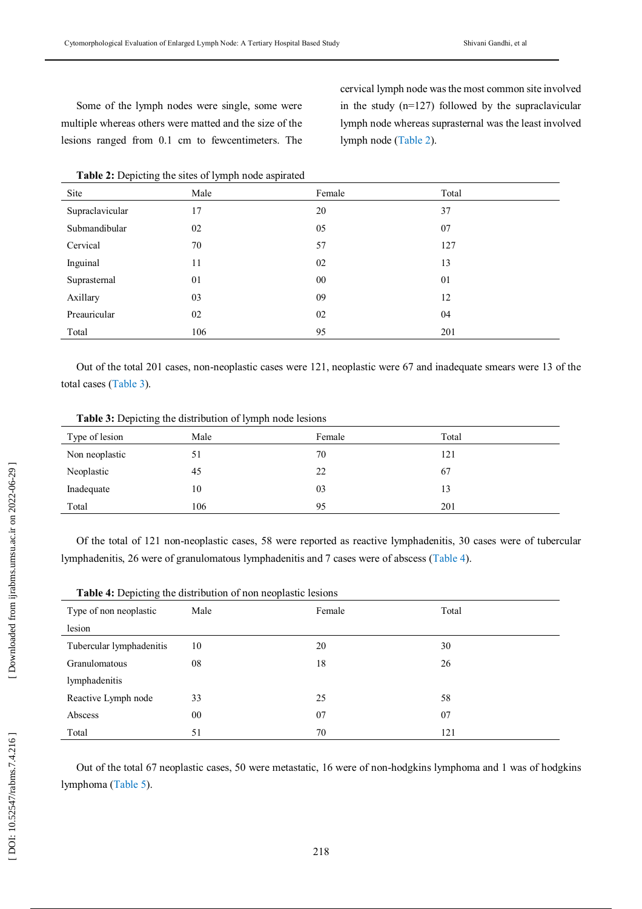Some of the lymph nodes were single, some were multiple whereas others were matted and the size of the lesions ranged from 0.1 cm to fewcentimeters. The

cervical lymph node was the most common site involved in the study (n=127) followed by the supraclavicular lymph node whereas suprasternal was the least involved lymph node (Table 2).

| Site            | Male | Female | Total |
|-----------------|------|--------|-------|
| Supraclavicular | 17   | 20     | 37    |
| Submandibular   | 02   | 05     | 07    |
| Cervical        | 70   | 57     | 127   |
| Inguinal        | 11   | 02     | 13    |
| Suprasternal    | 01   | 00     | 01    |
| Axillary        | 03   | 09     | 12    |
| Preauricular    | 02   | 02     | 04    |
| Total           | 106  | 95     | 201   |

Out of the total 201 cases, non -neoplastic cases were 121, neoplastic were 67 and inadequate smears were 13 of the total cases (Table 3).

|  |  | <b>Table 3:</b> Depicting the distribution of lymph node lesions |
|--|--|------------------------------------------------------------------|
|--|--|------------------------------------------------------------------|

| Type of lesion | Male | Female | Total |
|----------------|------|--------|-------|
| Non neoplastic | 51   | 70     | 121   |
| Neoplastic     | 45   | 22     | 67    |
| Inadequate     | 10   | 03     | 13    |
| Total          | 106  | 95     | 201   |

Of the total of 121 non -neoplastic cases, 58 were reported as reactive lymphadenitis, 30 cases were of tubercular lymphadenitis, 26 were of granulomatous lymphadenitis and 7 cases were of abscess (Table 4).

| л.<br>$\tilde{}$         | $\overline{ }$ |        |       |
|--------------------------|----------------|--------|-------|
| Type of non neoplastic   | Male           | Female | Total |
| lesion                   |                |        |       |
| Tubercular lymphadenitis | 10             | 20     | 30    |
| Granulomatous            | 08             | 18     | 26    |
| lymphadenitis            |                |        |       |
| Reactive Lymph node      | 33             | 25     | 58    |
| Abscess                  | 00             | 07     | 07    |
| Total                    | 51             | 70     | 121   |

| Table 4: Depicting the distribution of non neoplastic lesions |  |
|---------------------------------------------------------------|--|
|---------------------------------------------------------------|--|

Out of the total 67 neoplastic cases, 50 were metastatic, 16 were of non -hodgkins lymphoma and 1 was of hodgkins lymphoma (Table 5).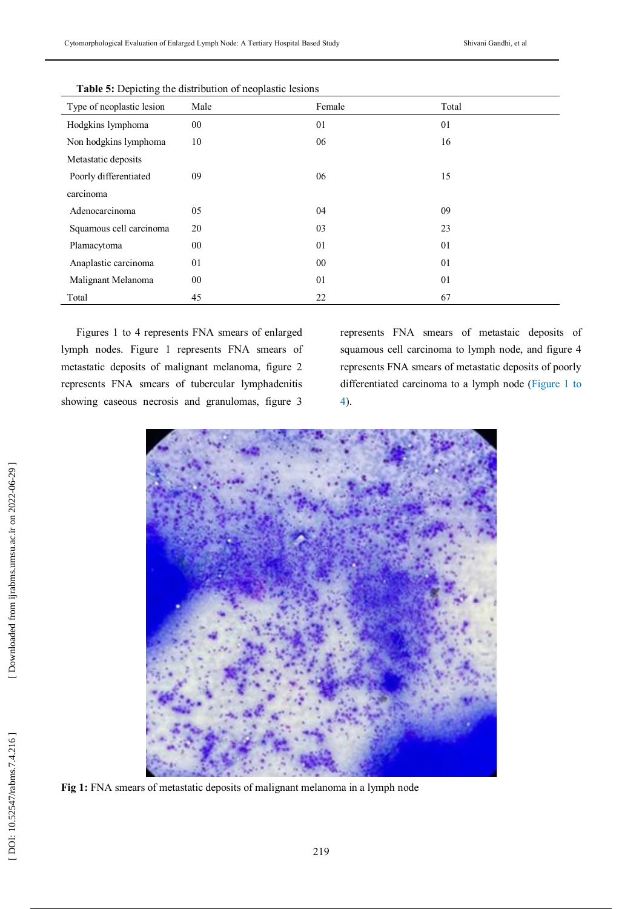| <b>Table 5: Depleting the distribution of heoplastic resions</b> |        |        |       |
|------------------------------------------------------------------|--------|--------|-------|
| Type of neoplastic lesion                                        | Male   | Female | Total |
| Hodgkins lymphoma                                                | $00\,$ | 01     | 01    |
| Non hodgkins lymphoma                                            | 10     | 06     | 16    |
| Metastatic deposits                                              |        |        |       |
| Poorly differentiated                                            | 09     | 06     | 15    |
| carcinoma                                                        |        |        |       |
| Adenocarcinoma                                                   | 05     | 04     | 09    |
| Squamous cell carcinoma                                          | 20     | 03     | 23    |
| Plamacytoma                                                      | $00\,$ | 01     | 01    |
| Anaplastic carcinoma                                             | 01     | 00     | 01    |
| Malignant Melanoma                                               | $00\,$ | 01     | 01    |
| Total                                                            | 45     | 22     | 67    |

**Table 5:** Depicting the distribution of neoplastic lesions

Figures 1 to 4 represents FNA smears of enlarged lymph nodes. Figure 1 represents FNA smears of metastatic deposits of malignant melanoma, figure 2 represents FNA smears of tubercular lymphadenitis showing caseous necrosis and granulomas, figure 3

represents FNA smears of metastaic deposits of squamous cell carcinoma to lymph node, and figure 4 represents FNA smears of metastatic deposits of poorly differentiated carcinoma to a lymph node (Figure 1 to 4).



**Fig 1:** FNA smears of metastatic deposits of malignant melanoma in a lymph node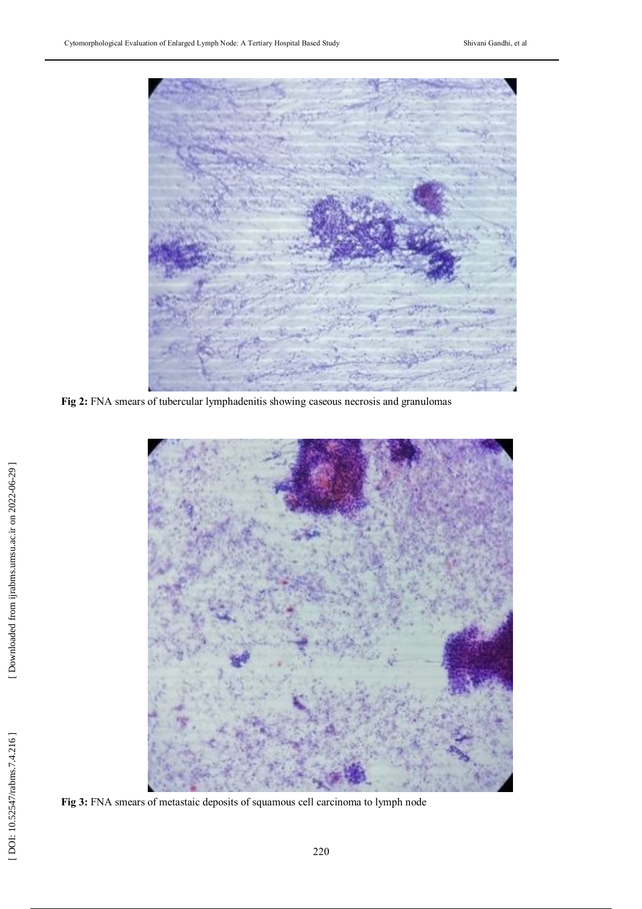

**Fig 2:** FNA smears of tubercular lymphadenitis showing caseous necrosis and granulomas



**Fig 3:** FNA smears of metastaic deposits of squamous cell carcinoma to lymph node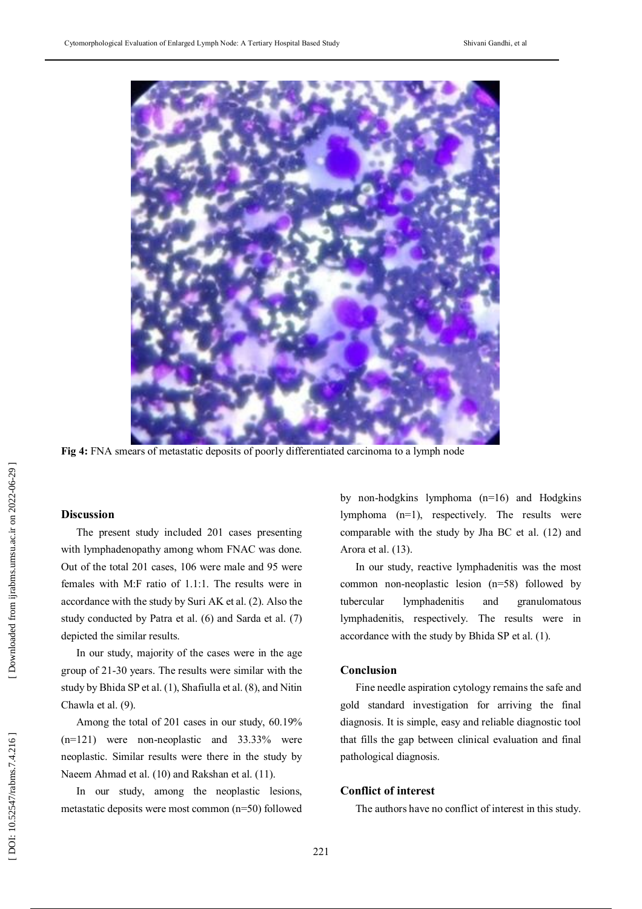

**Fig 4:** FNA smears of metastatic deposits of poorly differentiated carcinoma to a lymph node

## **Discussion**

The present study included 201 cases presenting with lymphadenopathy among whom FNAC was done. Out of the total 201 cases, 106 were male and 95 were females with M:F ratio of 1.1:1. The results were in accordance with the study by Suri AK et al. (2). Also the study conducted by Patra et al. (6) and Sarda et al. (7) depicted the similar results.

In our study, majority of the cases were in the age group of 21 -30 years. The results were similar with the study by Bhida SP et al. (1), Shafiulla et al. (8), and Nitin Chawla et al. (9).

Among the total of 201 cases in our study, 60.19% (n=121) were non -neoplastic and 33.33% were neoplastic. Similar results were there in the study by Naeem Ahmad et al. (10) and Rakshan et al. (11).

In our study, among the neoplastic lesions, metastatic deposits were most common (n=50) followed

by non -hodgkins lymphoma (n=16) and Hodgkins lymphoma (n=1), respectively. The results were comparable with the study by Jha BC et al. (12) and Arora et al. (13).

In our study, reactive lymphadenitis was the most common non -neoplastic lesion (n=58) followed by tubercular lymphadenitis and granulomatous lymphadenitis, respectively. The results were in accordance with the study by Bhida SP et al. (1).

#### **Conclusion**

Fine needle aspiration cytology remains the safe and gold standard investigation for arriving the final diagnosis. It is simple, easy and reliable diagnostic tool that fills the gap between clinical evaluation and final pathological diagnosis.

#### **Conflict of interest**

The authors have no conflict of interest in this study.